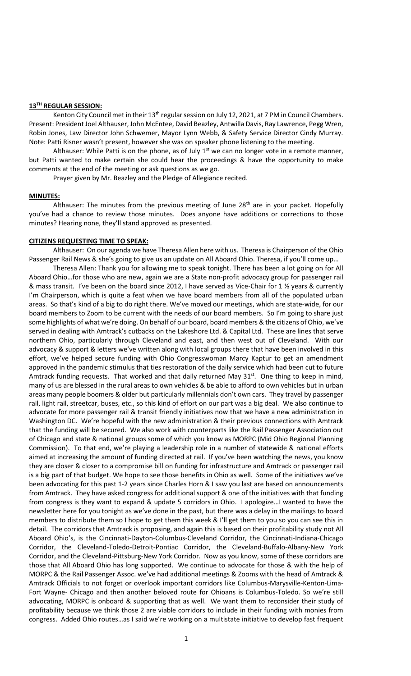## **13TH REGULAR SESSION:**

Kenton City Council met in their 13<sup>th</sup> regular session on July 12, 2021, at 7 PM in Council Chambers. Present: President Joel Althauser, John McEntee, David Beazley, Antwilla Davis, Ray Lawrence, Pegg Wren, Robin Jones, Law Director John Schwemer, Mayor Lynn Webb, & Safety Service Director Cindy Murray. Note: Patti Risner wasn't present, however she was on speaker phone listening to the meeting.

Althauser: While Patti is on the phone, as of July  $1<sup>st</sup>$  we can no longer vote in a remote manner, but Patti wanted to make certain she could hear the proceedings & have the opportunity to make comments at the end of the meeting or ask questions as we go.

Prayer given by Mr. Beazley and the Pledge of Allegiance recited.

### **MINUTES:**

Althauser: The minutes from the previous meeting of June  $28<sup>th</sup>$  are in your packet. Hopefully you've had a chance to review those minutes. Does anyone have additions or corrections to those minutes? Hearing none, they'll stand approved as presented.

## **CITIZENS REQUESTING TIME TO SPEAK:**

Althauser: On our agenda we have Theresa Allen here with us. Theresa is Chairperson of the Ohio Passenger Rail News & she's going to give us an update on All Aboard Ohio. Theresa, if you'll come up…

Theresa Allen: Thank you for allowing me to speak tonight. There has been a lot going on for All Aboard Ohio…for those who are new, again we are a State non-profit advocacy group for passenger rail & mass transit. I've been on the board since 2012, I have served as Vice-Chair for 1 ½ years & currently I'm Chairperson, which is quite a feat when we have board members from all of the populated urban areas. So that's kind of a big to do right there. We've moved our meetings, which are state-wide, for our board members to Zoom to be current with the needs of our board members. So I'm going to share just some highlights of what we're doing. On behalf of our board, board members & the citizens of Ohio, we've served in dealing with Amtrack's cutbacks on the Lakeshore Ltd. & Capital Ltd. These are lines that serve northern Ohio, particularly through Cleveland and east, and then west out of Cleveland. With our advocacy & support & letters we've written along with local groups there that have been involved in this effort, we've helped secure funding with Ohio Congresswoman Marcy Kaptur to get an amendment approved in the pandemic stimulus that ties restoration of the daily service which had been cut to future Amtrack funding requests. That worked and that daily returned May  $31^{st}$ . One thing to keep in mind, many of us are blessed in the rural areas to own vehicles & be able to afford to own vehicles but in urban areas many people boomers & older but particularly millennials don't own cars. They travel by passenger rail, light rail, streetcar, buses, etc., so this kind of effort on our part was a big deal. We also continue to advocate for more passenger rail & transit friendly initiatives now that we have a new administration in Washington DC. We're hopeful with the new administration & their previous connections with Amtrack that the funding will be secured. We also work with counterparts like the Rail Passenger Association out of Chicago and state & national groups some of which you know as MORPC (Mid Ohio Regional Planning Commission). To that end, we're playing a leadership role in a number of statewide & national efforts aimed at increasing the amount of funding directed at rail. If you've been watching the news, you know they are closer & closer to a compromise bill on funding for infrastructure and Amtrack or passenger rail is a big part of that budget. We hope to see those benefits in Ohio as well. Some of the initiatives we've been advocating for this past 1-2 years since Charles Horn & I saw you last are based on announcements from Amtrack. They have asked congress for additional support & one of the initiatives with that funding from congress is they want to expand & update 5 corridors in Ohio. I apologize…I wanted to have the newsletter here for you tonight as we've done in the past, but there was a delay in the mailings to board members to distribute them so I hope to get them this week & I'll get them to you so you can see this in detail. The corridors that Amtrack is proposing, and again this is based on their profitability study not All Aboard Ohio's, is the Cincinnati-Dayton-Columbus-Cleveland Corridor, the Cincinnati-Indiana-Chicago Corridor, the Cleveland-Toledo-Detroit-Pontiac Corridor, the Cleveland-Buffalo-Albany-New York Corridor, and the Cleveland-Pittsburg-New York Corridor. Now as you know, some of these corridors are those that All Aboard Ohio has long supported. We continue to advocate for those & with the help of MORPC & the Rail Passenger Assoc. we've had additional meetings & Zooms with the head of Amtrack & Amtrack Officials to not forget or overlook important corridors like Columbus-Marysville-Kenton-Lima-Fort Wayne- Chicago and then another beloved route for Ohioans is Columbus-Toledo. So we're still advocating, MORPC is onboard & supporting that as well. We want them to reconsider their study of profitability because we think those 2 are viable corridors to include in their funding with monies from congress. Added Ohio routes…as I said we're working on a multistate initiative to develop fast frequent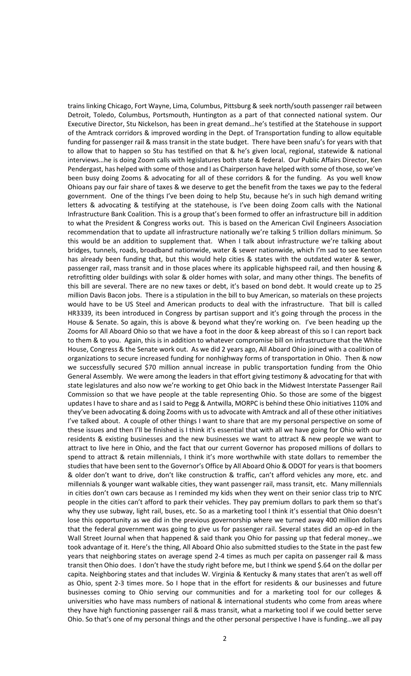trains linking Chicago, Fort Wayne, Lima, Columbus, Pittsburg & seek north/south passenger rail between Detroit, Toledo, Columbus, Portsmouth, Huntington as a part of that connected national system. Our Executive Director, Stu Nickelson, has been in great demand…he's testified at the Statehouse in support of the Amtrack corridors & improved wording in the Dept. of Transportation funding to allow equitable funding for passenger rail & mass transit in the state budget. There have been snafu's for years with that to allow that to happen so Stu has testified on that & he's given local, regional, statewide & national interviews…he is doing Zoom calls with legislatures both state & federal. Our Public Affairs Director, Ken Pendergast, has helped with some of those and I as Chairperson have helped with some of those, so we've been busy doing Zooms & advocating for all of these corridors & for the funding. As you well know Ohioans pay our fair share of taxes & we deserve to get the benefit from the taxes we pay to the federal government. One of the things I've been doing to help Stu, because he's in such high demand writing letters & advocating & testifying at the statehouse, is I've been doing Zoom calls with the National Infrastructure Bank Coalition. This is a group that's been formed to offer an infrastructure bill in addition to what the President & Congress works out. This is based on the American Civil Engineers Association recommendation that to update all infrastructure nationally we're talking 5 trillion dollars minimum. So this would be an addition to supplement that. When I talk about infrastructure we're talking about bridges, tunnels, roads, broadband nationwide, water & sewer nationwide, which I'm sad to see Kenton has already been funding that, but this would help cities & states with the outdated water & sewer, passenger rail, mass transit and in those places where its applicable highspeed rail, and then housing & retrofitting older buildings with solar & older homes with solar, and many other things. The benefits of this bill are several. There are no new taxes or debt, it's based on bond debt. It would create up to 25 million Davis Bacon jobs. There is a stipulation in the bill to buy American, so materials on these projects would have to be US Steel and American products to deal with the infrastructure. That bill is called HR3339, its been introduced in Congress by partisan support and it's going through the process in the House & Senate. So again, this is above & beyond what they're working on. I've been heading up the Zooms for All Aboard Ohio so that we have a foot in the door & keep abreast of this so I can report back to them & to you. Again, this is in addition to whatever compromise bill on infrastructure that the White House, Congress & the Senate work out. As we did 2 years ago, All Aboard Ohio joined with a coalition of organizations to secure increased funding for nonhighway forms of transportation in Ohio. Then & now we successfully secured \$70 million annual increase in public transportation funding from the Ohio General Assembly. We were among the leaders in that effort giving testimony & advocating for that with state legislatures and also now we're working to get Ohio back in the Midwest Interstate Passenger Rail Commission so that we have people at the table representing Ohio. So those are some of the biggest updates I have to share and as I said to Pegg & Antwilla, MORPC is behind these Ohio initiatives 110% and they've been advocating & doing Zooms with us to advocate with Amtrack and all of these other initiatives I've talked about. A couple of other things I want to share that are my personal perspective on some of these issues and then I'll be finished is I think it's essential that with all we have going for Ohio with our residents & existing businesses and the new businesses we want to attract & new people we want to attract to live here in Ohio, and the fact that our current Governor has proposed millions of dollars to spend to attract & retain millennials, I think it's more worthwhile with state dollars to remember the studies that have been sent to the Governor's Office by All Aboard Ohio & ODOT for years is that boomers & older don't want to drive, don't like construction & traffic, can't afford vehicles any more, etc. and millennials & younger want walkable cities, they want passenger rail, mass transit, etc. Many millennials in cities don't own cars because as I reminded my kids when they went on their senior class trip to NYC people in the cities can't afford to park their vehicles. They pay premium dollars to park them so that's why they use subway, light rail, buses, etc. So as a marketing tool I think it's essential that Ohio doesn't lose this opportunity as we did in the previous governorship where we turned away 400 million dollars that the federal government was going to give us for passenger rail. Several states did an op-ed in the Wall Street Journal when that happened & said thank you Ohio for passing up that federal money...we took advantage of it. Here's the thing, All Aboard Ohio also submitted studies to the State in the past few years that neighboring states on average spend 2-4 times as much per capita on passenger rail & mass transit then Ohio does. I don't have the study right before me, but I think we spend \$.64 on the dollar per capita. Neighboring states and that includes W. Virginia & Kentucky & many states that aren't as well off as Ohio, spent 2-3 times more. So I hope that in the effort for residents & our businesses and future businesses coming to Ohio serving our communities and for a marketing tool for our colleges & universities who have mass numbers of national & international students who come from areas where they have high functioning passenger rail & mass transit, what a marketing tool if we could better serve Ohio. So that's one of my personal things and the other personal perspective I have is funding…we all pay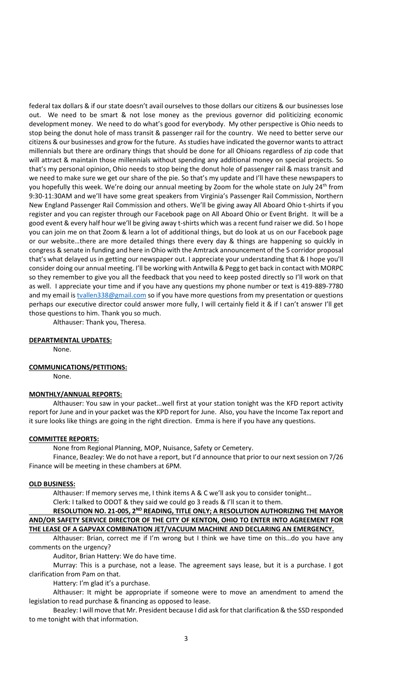federal tax dollars & if our state doesn't avail ourselves to those dollars our citizens & our businesses lose out. We need to be smart & not lose money as the previous governor did politicizing economic development money. We need to do what's good for everybody. My other perspective is Ohio needs to stop being the donut hole of mass transit & passenger rail for the country. We need to better serve our citizens & our businesses and grow for the future. As studies have indicated the governor wants to attract millennials but there are ordinary things that should be done for all Ohioans regardless of zip code that will attract & maintain those millennials without spending any additional money on special projects. So that's my personal opinion, Ohio needs to stop being the donut hole of passenger rail & mass transit and we need to make sure we get our share of the pie. So that's my update and I'll have these newspapers to you hopefully this week. We're doing our annual meeting by Zoom for the whole state on July 24<sup>th</sup> from 9:30-11:30AM and we'll have some great speakers from Virginia's Passenger Rail Commission, Northern New England Passenger Rail Commission and others. We'll be giving away All Aboard Ohio t-shirts if you register and you can register through our Facebook page on All Aboard Ohio or Event Bright. It will be a good event & every half hour we'll be giving away t-shirts which was a recent fund raiser we did. So I hope you can join me on that Zoom & learn a lot of additional things, but do look at us on our Facebook page or our website…there are more detailed things there every day & things are happening so quickly in congress & senate in funding and here in Ohio with the Amtrack announcement of the 5 corridor proposal that's what delayed us in getting our newspaper out. I appreciate your understanding that & I hope you'll consider doing our annual meeting. I'll be working with Antwilla & Pegg to get back in contact with MORPC so they remember to give you all the feedback that you need to keep posted directly so I'll work on that as well. I appreciate your time and if you have any questions my phone number or text is 419-889-7780 and my email i[s tvallen338@gmail.com](mailto:tvallen338@gmail.com) so if you have more questions from my presentation or questions perhaps our executive director could answer more fully, I will certainly field it & if I can't answer I'll get those questions to him. Thank you so much.

Althauser: Thank you, Theresa.

## **DEPARTMENTAL UPDATES:**

None.

### **COMMUNICATIONS/PETITIONS:**

None.

#### **MONTHLY/ANNUAL REPORTS:**

Althauser: You saw in your packet…well first at your station tonight was the KFD report activity report for June and in your packet was the KPD report for June. Also, you have the Income Tax report and it sure looks like things are going in the right direction. Emma is here if you have any questions.

# **COMMITTEE REPORTS:**

None from Regional Planning, MOP, Nuisance, Safety or Cemetery.

Finance, Beazley: We do not have a report, but I'd announce that prior to our next session on 7/26 Finance will be meeting in these chambers at 6PM.

#### **OLD BUSINESS:**

Althauser: If memory serves me, I think items A & C we'll ask you to consider tonight… Clerk: I talked to ODOT & they said we could go 3 reads & I'll scan it to them.

**RESOLUTION NO. 21-005, 2ND READING, TITLE ONLY; A RESOLUTION AUTHORIZING THE MAYOR AND/OR SAFETY SERVICE DIRECTOR OF THE CITY OF KENTON, OHIO TO ENTER INTO AGREEMENT FOR THE LEASE OF A GAPVAX COMBINATION JET/VACUUM MACHINE AND DECLARING AN EMERGENCY.**

Althauser: Brian, correct me if I'm wrong but I think we have time on this…do you have any comments on the urgency?

Auditor, Brian Hattery: We do have time.

Murray: This is a purchase, not a lease. The agreement says lease, but it is a purchase. I got clarification from Pam on that.

Hattery: I'm glad it's a purchase.

Althauser: It might be appropriate if someone were to move an amendment to amend the legislation to read purchase & financing as opposed to lease.

Beazley: I will move that Mr. President because I did ask for that clarification & the SSD responded to me tonight with that information.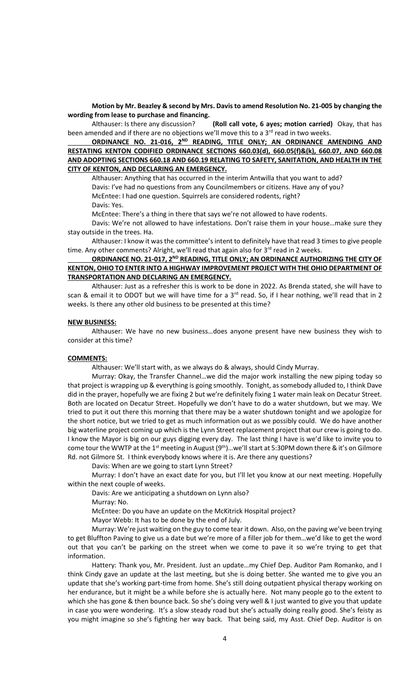**Motion by Mr. Beazley & second by Mrs. Davis to amend Resolution No. 21-005 by changing the wording from lease to purchase and financing.** 

Althauser: Is there any discussion? **(Roll call vote, 6 ayes; motion carried)** Okay, that has been amended and if there are no objections we'll move this to a  $3<sup>rd</sup>$  read in two weeks.

**ORDINANCE NO. 21-016, 2ND READING, TITLE ONLY; AN ORDINANCE AMENDING AND RESTATING KENTON CODIFIED ORDINANCE SECTIONS 660.03(d), 660.05(f)&(k), 660.07, AND 660.08 AND ADOPTING SECTIONS 660.18 AND 660.19 RELATING TO SAFETY, SANITATION, AND HEALTH IN THE CITY OF KENTON, AND DECLARING AN EMERGENCY.**

Althauser: Anything that has occurred in the interim Antwilla that you want to add? Davis: I've had no questions from any Councilmembers or citizens. Have any of you? McEntee: I had one question. Squirrels are considered rodents, right?

Davis: Yes.

McEntee: There's a thing in there that says we're not allowed to have rodents.

Davis: We're not allowed to have infestations. Don't raise them in your house…make sure they stay outside in the trees. Ha.

Althauser: I know it was the committee's intent to definitely have that read 3 times to give people time. Any other comments? Alright, we'll read that again also for  $3<sup>rd</sup>$  read in 2 weeks.

## ORDINANCE NO. 21-017, 2<sup>ND</sup> READING, TITLE ONLY; AN ORDINANCE AUTHORIZING THE CITY OF **KENTON, OHIO TO ENTER INTO A HIGHWAY IMPROVEMENT PROJECT WITH THE OHIO DEPARTMENT OF TRANSPORTATION AND DECLARING AN EMERGENCY.**

Althauser: Just as a refresher this is work to be done in 2022. As Brenda stated, she will have to scan & email it to ODOT but we will have time for a  $3<sup>rd</sup>$  read. So, if I hear nothing, we'll read that in 2 weeks. Is there any other old business to be presented at this time?

## **NEW BUSINESS:**

Althauser: We have no new business…does anyone present have new business they wish to consider at this time?

## **COMMENTS:**

Althauser: We'll start with, as we always do & always, should Cindy Murray.

Murray: Okay, the Transfer Channel…we did the major work installing the new piping today so that project is wrapping up & everything is going smoothly. Tonight, as somebody alluded to, I think Dave did in the prayer, hopefully we are fixing 2 but we're definitely fixing 1 water main leak on Decatur Street. Both are located on Decatur Street. Hopefully we don't have to do a water shutdown, but we may. We tried to put it out there this morning that there may be a water shutdown tonight and we apologize for the short notice, but we tried to get as much information out as we possibly could. We do have another big waterline project coming up which is the Lynn Street replacement project that our crew is going to do. I know the Mayor is big on our guys digging every day. The last thing I have is we'd like to invite you to come tour the WWTP at the 1<sup>st</sup> meeting in August (9<sup>th</sup>)...we'll start at 5:30PM down there & it's on Gilmore Rd. not Gilmore St. I think everybody knows where it is. Are there any questions?

Davis: When are we going to start Lynn Street?

Murray: I don't have an exact date for you, but I'll let you know at our next meeting. Hopefully within the next couple of weeks.

Davis: Are we anticipating a shutdown on Lynn also?

Murray: No.

McEntee: Do you have an update on the McKitrick Hospital project?

Mayor Webb: It has to be done by the end of July.

Murray: We're just waiting on the guy to come tear it down. Also, on the paving we've been trying to get Bluffton Paving to give us a date but we're more of a filler job for them…we'd like to get the word out that you can't be parking on the street when we come to pave it so we're trying to get that information.

Hattery: Thank you, Mr. President. Just an update…my Chief Dep. Auditor Pam Romanko, and I think Cindy gave an update at the last meeting, but she is doing better. She wanted me to give you an update that she's working part-time from home. She's still doing outpatient physical therapy working on her endurance, but it might be a while before she is actually here. Not many people go to the extent to which she has gone & then bounce back. So she's doing very well & I just wanted to give you that update in case you were wondering. It's a slow steady road but she's actually doing really good. She's feisty as you might imagine so she's fighting her way back. That being said, my Asst. Chief Dep. Auditor is on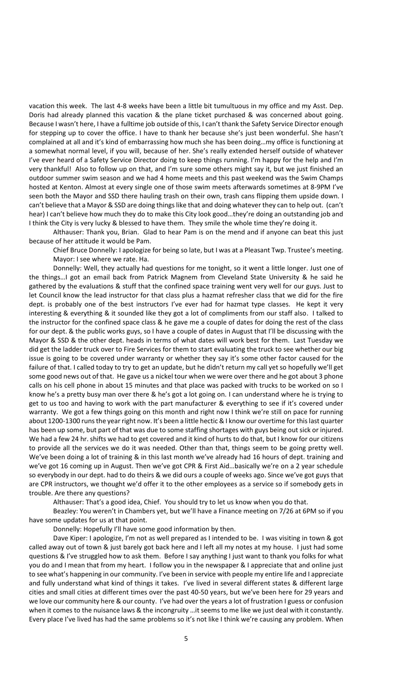vacation this week. The last 4-8 weeks have been a little bit tumultuous in my office and my Asst. Dep. Doris had already planned this vacation & the plane ticket purchased & was concerned about going. Because I wasn't here, I have a fulltime job outside of this, I can't thank the Safety Service Director enough for stepping up to cover the office. I have to thank her because she's just been wonderful. She hasn't complained at all and it's kind of embarrassing how much she has been doing…my office is functioning at a somewhat normal level, if you will, because of her. She's really extended herself outside of whatever I've ever heard of a Safety Service Director doing to keep things running. I'm happy for the help and I'm very thankful! Also to follow up on that, and I'm sure some others might say it, but we just finished an outdoor summer swim season and we had 4 home meets and this past weekend was the Swim Champs hosted at Kenton. Almost at every single one of those swim meets afterwards sometimes at 8-9PM I've seen both the Mayor and SSD there hauling trash on their own, trash cans flipping them upside down. I can't believe that a Mayor & SSD are doing things like that and doing whatever they can to help out. (can't hear) I can't believe how much they do to make this City look good…they're doing an outstanding job and I think the City is very lucky & blessed to have them. They smile the whole time they're doing it.

Althauser: Thank you, Brian. Glad to hear Pam is on the mend and if anyone can beat this just because of her attitude it would be Pam.

Chief Bruce Donnelly: I apologize for being so late, but I was at a Pleasant Twp. Trustee's meeting. Mayor: I see where we rate. Ha.

Donnelly: Well, they actually had questions for me tonight, so it went a little longer. Just one of the things…I got an email back from Patrick Magnem from Cleveland State University & he said he gathered by the evaluations & stuff that the confined space training went very well for our guys. Just to let Council know the lead instructor for that class plus a hazmat refresher class that we did for the fire dept. is probably one of the best instructors I've ever had for hazmat type classes. He kept it very interesting & everything & it sounded like they got a lot of compliments from our staff also. I talked to the instructor for the confined space class & he gave me a couple of dates for doing the rest of the class for our dept. & the public works guys, so I have a couple of dates in August that I'll be discussing with the Mayor & SSD & the other dept. heads in terms of what dates will work best for them. Last Tuesday we did get the ladder truck over to Fire Services for them to start evaluating the truck to see whether our big issue is going to be covered under warranty or whether they say it's some other factor caused for the failure of that. I called today to try to get an update, but he didn't return my call yet so hopefully we'll get some good news out of that. He gave us a nickel tour when we were over there and he got about 3 phone calls on his cell phone in about 15 minutes and that place was packed with trucks to be worked on so I know he's a pretty busy man over there & he's got a lot going on. I can understand where he is trying to get to us too and having to work with the part manufacturer & everything to see if it's covered under warranty. We got a few things going on this month and right now I think we're still on pace for running about 1200-1300 runs the year right now. It's been a little hectic & I know our overtime for this last quarter has been up some, but part of that was due to some staffing shortages with guys being out sick or injured. We had a few 24 hr. shifts we had to get covered and it kind of hurts to do that, but I know for our citizens to provide all the services we do it was needed. Other than that, things seem to be going pretty well. We've been doing a lot of training & in this last month we've already had 16 hours of dept. training and we've got 16 coming up in August. Then we've got CPR & First Aid…basically we're on a 2 year schedule so everybody in our dept. had to do theirs & we did ours a couple of weeks ago. Since we've got guys that are CPR instructors, we thought we'd offer it to the other employees as a service so if somebody gets in trouble. Are there any questions?

Althauser: That's a good idea, Chief. You should try to let us know when you do that.

Beazley: You weren't in Chambers yet, but we'll have a Finance meeting on 7/26 at 6PM so if you have some updates for us at that point.

Donnelly: Hopefully I'll have some good information by then.

Dave Kiper: I apologize, I'm not as well prepared as I intended to be. I was visiting in town & got called away out of town & just barely got back here and I left all my notes at my house. I just had some questions & I've struggled how to ask them. Before I say anything I just want to thank you folks for what you do and I mean that from my heart. I follow you in the newspaper & I appreciate that and online just to see what's happening in our community. I've been in service with people my entire life and I appreciate and fully understand what kind of things it takes. I've lived in several different states & different large cities and small cities at different times over the past 40-50 years, but we've been here for 29 years and we love our community here & our county. I've had over the years a lot of frustration I guess or confusion when it comes to the nuisance laws & the incongruity ... it seems to me like we just deal with it constantly. Every place I've lived has had the same problems so it's not like I think we're causing any problem. When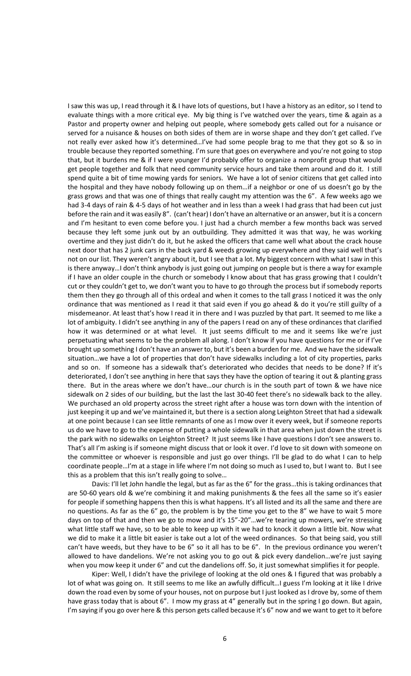I saw this was up, I read through it & I have lots of questions, but I have a history as an editor, so I tend to evaluate things with a more critical eye. My big thing is I've watched over the years, time & again as a Pastor and property owner and helping out people, where somebody gets called out for a nuisance or served for a nuisance & houses on both sides of them are in worse shape and they don't get called. I've not really ever asked how it's determined…I've had some people brag to me that they got so & so in trouble because they reported something. I'm sure that goes on everywhere and you're not going to stop that, but it burdens me & if I were younger I'd probably offer to organize a nonprofit group that would get people together and folk that need community service hours and take them around and do it. I still spend quite a bit of time mowing yards for seniors. We have a lot of senior citizens that get called into the hospital and they have nobody following up on them…if a neighbor or one of us doesn't go by the grass grows and that was one of things that really caught my attention was the 6". A few weeks ago we had 3-4 days of rain & 4-5 days of hot weather and in less than a week I had grass that had been cut just before the rain and it was easily 8". (can't hear) I don't have an alternative or an answer, but it is a concern and I'm hesitant to even come before you. I just had a church member a few months back was served because they left some junk out by an outbuilding. They admitted it was that way, he was working overtime and they just didn't do it, but he asked the officers that came well what about the crack house next door that has 2 junk cars in the back yard & weeds growing up everywhere and they said well that's not on our list. They weren't angry about it, but I see that a lot. My biggest concern with what I saw in this is there anyway…I don't think anybody is just going out jumping on people but is there a way for example if I have an older couple in the church or somebody I know about that has grass growing that I couldn't cut or they couldn't get to, we don't want you to have to go through the process but if somebody reports them then they go through all of this ordeal and when it comes to the tall grass I noticed it was the only ordinance that was mentioned as I read it that said even if you go ahead & do it you're still guilty of a misdemeanor. At least that's how I read it in there and I was puzzled by that part. It seemed to me like a lot of ambiguity. I didn't see anything in any of the papers I read on any of these ordinances that clarified how it was determined or at what level. It just seems difficult to me and it seems like we're just perpetuating what seems to be the problem all along. I don't know if you have questions for me or if I've brought up something I don't have an answer to, but it's been a burden for me. And we have the sidewalk situation…we have a lot of properties that don't have sidewalks including a lot of city properties, parks and so on. If someone has a sidewalk that's deteriorated who decides that needs to be done? If it's deteriorated, I don't see anything in here that says they have the option of tearing it out & planting grass there. But in the areas where we don't have…our church is in the south part of town & we have nice sidewalk on 2 sides of our building, but the last the last 30-40 feet there's no sidewalk back to the alley. We purchased an old property across the street right after a house was torn down with the intention of just keeping it up and we've maintained it, but there is a section along Leighton Street that had a sidewalk at one point because I can see little remnants of one as I mow over it every week, but if someone reports us do we have to go to the expense of putting a whole sidewalk in that area when just down the street is the park with no sidewalks on Leighton Street? It just seems like I have questions I don't see answers to. That's all I'm asking is if someone might discuss that or look it over. I'd love to sit down with someone on the committee or whoever is responsible and just go over things. I'll be glad to do what I can to help coordinate people…I'm at a stage in life where I'm not doing so much as I used to, but I want to. But I see this as a problem that this isn't really going to solve…

Davis: I'll let John handle the legal, but as far as the 6" for the grass…this is taking ordinances that are 50-60 years old & we're combining it and making punishments & the fees all the same so it's easier for people if something happens then this is what happens. It's all listed and its all the same and there are no questions. As far as the 6" go, the problem is by the time you get to the 8" we have to wait 5 more days on top of that and then we go to mow and it's 15"-20"…we're tearing up mowers, we're stressing what little staff we have, so to be able to keep up with it we had to knock it down a little bit. Now what we did to make it a little bit easier is take out a lot of the weed ordinances. So that being said, you still can't have weeds, but they have to be 6" so it all has to be 6". In the previous ordinance you weren't allowed to have dandelions. We're not asking you to go out & pick every dandelion…we're just saying when you mow keep it under 6" and cut the dandelions off. So, it just somewhat simplifies it for people.

Kiper: Well, I didn't have the privilege of looking at the old ones & I figured that was probably a lot of what was going on. It still seems to me like an awfully difficult...I guess I'm looking at it like I drive down the road even by some of your houses, not on purpose but I just looked as I drove by, some of them have grass today that is about 6". I mow my grass at 4" generally but in the spring I go down. But again, I'm saying if you go over here & this person gets called because it's 6" now and we want to get to it before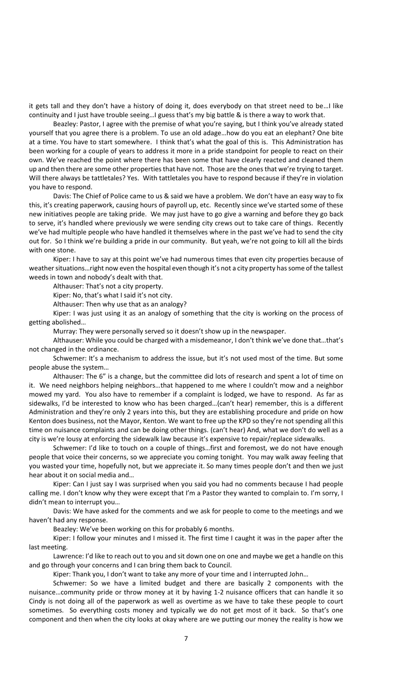it gets tall and they don't have a history of doing it, does everybody on that street need to be…I like continuity and I just have trouble seeing…I guess that's my big battle & is there a way to work that.

Beazley: Pastor, I agree with the premise of what you're saying, but I think you've already stated yourself that you agree there is a problem. To use an old adage…how do you eat an elephant? One bite at a time. You have to start somewhere. I think that's what the goal of this is. This Administration has been working for a couple of years to address it more in a pride standpoint for people to react on their own. We've reached the point where there has been some that have clearly reacted and cleaned them up and then there are some other properties that have not. Those are the ones that we're trying to target. Will there always be tattletales? Yes. With tattletales you have to respond because if they're in violation you have to respond.

Davis: The Chief of Police came to us & said we have a problem. We don't have an easy way to fix this, it's creating paperwork, causing hours of payroll up, etc. Recently since we've started some of these new initiatives people are taking pride. We may just have to go give a warning and before they go back to serve, it's handled where previously we were sending city crews out to take care of things. Recently we've had multiple people who have handled it themselves where in the past we've had to send the city out for. So I think we're building a pride in our community. But yeah, we're not going to kill all the birds with one stone.

Kiper: I have to say at this point we've had numerous times that even city properties because of weather situations…right now even the hospital even though it's not a city property has some of the tallest weeds in town and nobody's dealt with that.

Althauser: That's not a city property.

Kiper: No, that's what I said it's not city.

Althauser: Then why use that as an analogy?

Kiper: I was just using it as an analogy of something that the city is working on the process of getting abolished…

Murray: They were personally served so it doesn't show up in the newspaper.

Althauser: While you could be charged with a misdemeanor, I don't think we've done that…that's not changed in the ordinance.

Schwemer: It's a mechanism to address the issue, but it's not used most of the time. But some people abuse the system…

Althauser: The 6" is a change, but the committee did lots of research and spent a lot of time on it. We need neighbors helping neighbors…that happened to me where I couldn't mow and a neighbor mowed my yard. You also have to remember if a complaint is lodged, we have to respond. As far as sidewalks, I'd be interested to know who has been charged…(can't hear) remember, this is a different Administration and they're only 2 years into this, but they are establishing procedure and pride on how Kenton does business, not the Mayor, Kenton. We want to free up the KPD so they're not spending all this time on nuisance complaints and can be doing other things. (can't hear) And, what we don't do well as a city is we're lousy at enforcing the sidewalk law because it's expensive to repair/replace sidewalks.

Schwemer: I'd like to touch on a couple of things…first and foremost, we do not have enough people that voice their concerns, so we appreciate you coming tonight. You may walk away feeling that you wasted your time, hopefully not, but we appreciate it. So many times people don't and then we just hear about it on social media and…

Kiper: Can I just say I was surprised when you said you had no comments because I had people calling me. I don't know why they were except that I'm a Pastor they wanted to complain to. I'm sorry, I didn't mean to interrupt you…

Davis: We have asked for the comments and we ask for people to come to the meetings and we haven't had any response.

Beazley: We've been working on this for probably 6 months.

Kiper: I follow your minutes and I missed it. The first time I caught it was in the paper after the last meeting.

Lawrence: I'd like to reach out to you and sit down one on one and maybe we get a handle on this and go through your concerns and I can bring them back to Council.

Kiper: Thank you, I don't want to take any more of your time and I interrupted John…

Schwemer: So we have a limited budget and there are basically 2 components with the nuisance…community pride or throw money at it by having 1-2 nuisance officers that can handle it so Cindy is not doing all of the paperwork as well as overtime as we have to take these people to court sometimes. So everything costs money and typically we do not get most of it back. So that's one component and then when the city looks at okay where are we putting our money the reality is how we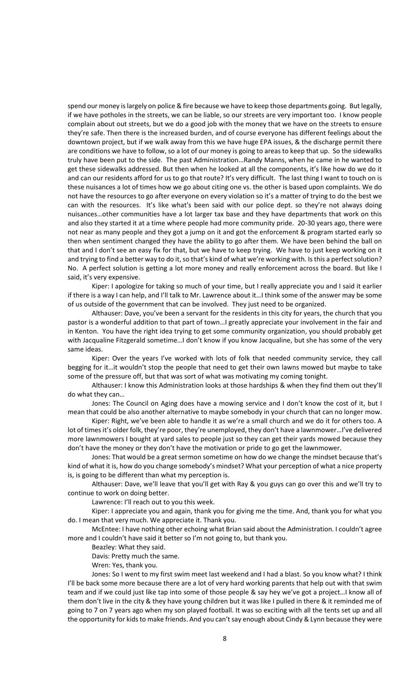spend our money is largely on police & fire because we have to keep those departments going. But legally, if we have potholes in the streets, we can be liable, so our streets are very important too. I know people complain about out streets, but we do a good job with the money that we have on the streets to ensure they're safe. Then there is the increased burden, and of course everyone has different feelings about the downtown project, but if we walk away from this we have huge EPA issues, & the discharge permit there are conditions we have to follow, so a lot of our money is going to areas to keep that up. So the sidewalks truly have been put to the side. The past Administration…Randy Manns, when he came in he wanted to get these sidewalks addressed. But then when he looked at all the components, it's like how do we do it and can our residents afford for us to go that route? It's very difficult. The last thing I want to touch on is these nuisances a lot of times how we go about citing one vs. the other is based upon complaints. We do not have the resources to go after everyone on every violation so it's a matter of trying to do the best we can with the resources. It's like what's been said with our police dept. so they're not always doing nuisances…other communities have a lot larger tax base and they have departments that work on this and also they started it at a time where people had more community pride. 20-30 years ago, there were not near as many people and they got a jump on it and got the enforcement & program started early so then when sentiment changed they have the ability to go after them. We have been behind the ball on that and I don't see an easy fix for that, but we have to keep trying. We have to just keep working on it and trying to find a better way to do it, so that's kind of what we're working with. Is this a perfect solution? No. A perfect solution is getting a lot more money and really enforcement across the board. But like I said, it's very expensive.

Kiper: I apologize for taking so much of your time, but I really appreciate you and I said it earlier if there is a way I can help, and I'll talk to Mr. Lawrence about it…I think some of the answer may be some of us outside of the government that can be involved. They just need to be organized.

Althauser: Dave, you've been a servant for the residents in this city for years, the church that you pastor is a wonderful addition to that part of town…I greatly appreciate your involvement in the fair and in Kenton. You have the right idea trying to get some community organization, you should probably get with Jacqualine Fitzgerald sometime...I don't know if you know Jacqualine, but she has some of the very same ideas.

Kiper: Over the years I've worked with lots of folk that needed community service, they call begging for it…it wouldn't stop the people that need to get their own lawns mowed but maybe to take some of the pressure off, but that was sort of what was motivating my coming tonight.

Althauser: I know this Administration looks at those hardships & when they find them out they'll do what they can…

Jones: The Council on Aging does have a mowing service and I don't know the cost of it, but I mean that could be also another alternative to maybe somebody in your church that can no longer mow.

Kiper: Right, we've been able to handle it as we're a small church and we do it for others too. A lot of times it's older folk, they're poor, they're unemployed, they don't have a lawnmower…I've delivered more lawnmowers I bought at yard sales to people just so they can get their yards mowed because they don't have the money or they don't have the motivation or pride to go get the lawnmower.

Jones: That would be a great sermon sometime on how do we change the mindset because that's kind of what it is, how do you change somebody's mindset? What your perception of what a nice property is, is going to be different than what my perception is.

Althauser: Dave, we'll leave that you'll get with Ray & you guys can go over this and we'll try to continue to work on doing better.

Lawrence: I'll reach out to you this week.

Kiper: I appreciate you and again, thank you for giving me the time. And, thank you for what you do. I mean that very much. We appreciate it. Thank you.

McEntee: I have nothing other echoing what Brian said about the Administration. I couldn't agree more and I couldn't have said it better so I'm not going to, but thank you.

Beazley: What they said.

Davis: Pretty much the same.

Wren: Yes, thank you.

Jones: So I went to my first swim meet last weekend and I had a blast. So you know what? I think I'll be back some more because there are a lot of very hard working parents that help out with that swim team and if we could just like tap into some of those people & say hey we've got a project…I know all of them don't live in the city & they have young children but it was like I pulled in there & it reminded me of going to 7 on 7 years ago when my son played football. It was so exciting with all the tents set up and all the opportunity for kids to make friends. And you can'tsay enough about Cindy & Lynn because they were